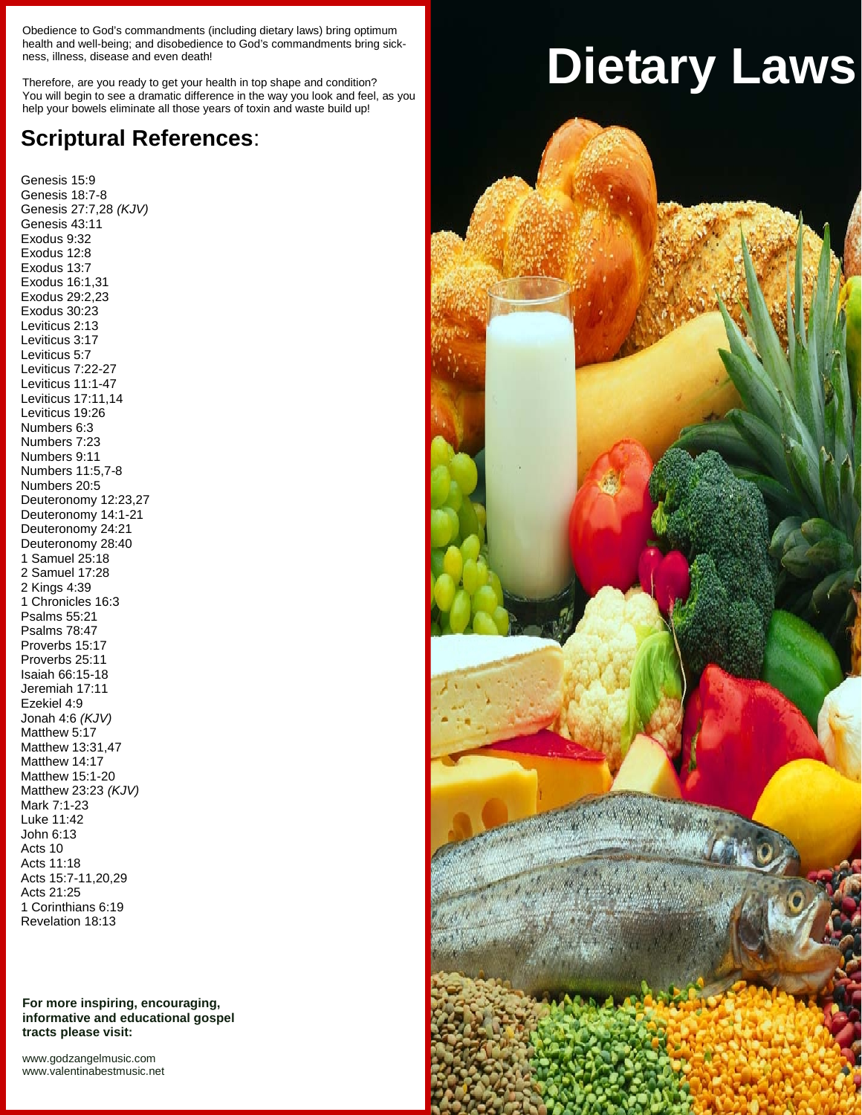Obedience to God's commandments (including dietary laws) bring optimum health and well-being; and disobedience to God's commandments bring sickness, illness, disease and even death!

Therefore, are you ready to get your health in top shape and condition? You will begin to see a dramatic difference in the way you look and feel, as you help your bowels eliminate all those years of toxin and waste build up!

# **Scriptural References**:

Genesis 15:9 Genesis 18:7-8 Genesis 27:7,28 *(KJV)* Genesis 43:11 Exodus 9:32 Exodus 12:8 Exodus 13:7 Exodus 16:1,31 Exodus 29:2,23 Exodus 30:23 Leviticus 2:13 Leviticus 3:17 Leviticus 5:7 Leviticus 7:22-27 Leviticus 11:1-47 Leviticus 17:11,14 Leviticus 19:26 Numbers 6:3 Numbers 7:23 Numbers 9:11 Numbers 11:5,7-8 Numbers 20:5 Deuteronomy 12:23,27 Deuteronomy 14:1-21 Deuteronomy 24:21 Deuteronomy 28:40 1 Samuel 25:18 2 Samuel 17:28 2 Kings 4:39 1 Chronicles 16:3 Psalms 55:21 Psalms 78:47 Proverbs 15:17 Proverbs 25:11 Isaiah 66:15-18 Jeremiah 17:11 Ezekiel 4:9 Jonah 4:6 *(KJV)* Matthew 5:17 Matthew 13:31,47 Matthew 14:17 Matthew 15:1-20 Matthew 23:23 *(KJV)* Mark 7:1-23 Luke 11:42 John 6:13 Acts 10 Acts 11:18 Acts 15:7-11,20,29 Acts 21:25 1 Corinthians 6:19 Revelation 18:13

**For more inspiring, encouraging, informative and educational gospel tracts please visit:**

<www.godzangelmusic.com> <www.valentinabestmusic.net>

# **Dietary Laws**